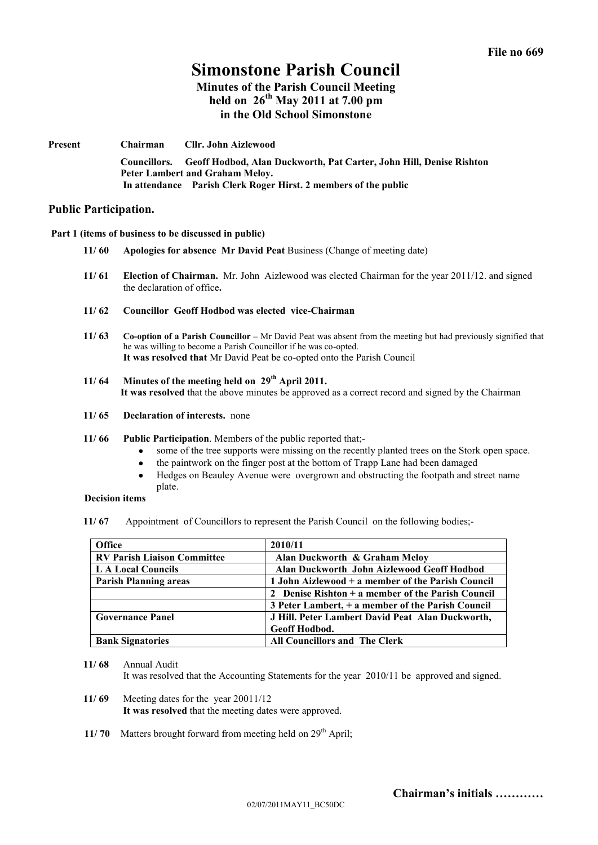# **Simonstone Parish Council**

# **Minutes of the Parish Council Meeting held on 26th May 2011 at 7.00 pm in the Old School Simonstone**

**Present Chairman Cllr. John Aizlewood Councillors. Geoff Hodbod, Alan Duckworth, Pat Carter, John Hill, Denise Rishton Peter Lambert and Graham Meloy. In attendance Parish Clerk Roger Hirst. 2 members of the public**

## **Public Participation.**

**Part 1 (items of business to be discussed in public)**

- **11/ 60 Apologies for absence Mr David Peat** Business (Change of meeting date)
- **11/ 61 Election of Chairman.** Mr. John Aizlewood was elected Chairman for the year 2011/12. and signed the declaration of office**.**
- **11/ 62 Councillor Geoff Hodbod was elected vice-Chairman**
- **11/ 63 Co-option of a Parish Councillor –** Mr David Peat was absent from the meeting but had previously signified that he was willing to become a Parish Councillor if he was co-opted. **It was resolved that** Mr David Peat be co-opted onto the Parish Council
- **11/ 64 Minutes of the meeting held on 29th April 2011. It was resolved** that the above minutes be approved as a correct record and signed by the Chairman
- **11/ 65 Declaration of interests.** none
- **11/ 66 Public Participation**. Members of the public reported that;
	- some of the tree supports were missing on the recently planted trees on the Stork open space.
	- the paintwork on the finger post at the bottom of Trapp Lane had been damaged
	- Hedges on Beauley Avenue were overgrown and obstructing the footpath and street name plate.

#### **Decision items**

**11/ 67** Appointment of Councillors to represent the Parish Council on the following bodies;-

| <b>Office</b>                      | 2010/11                                             |
|------------------------------------|-----------------------------------------------------|
| <b>RV Parish Liaison Committee</b> | Alan Duckworth & Graham Melov                       |
| L A Local Councils                 | Alan Duckworth John Aizlewood Geoff Hodbod          |
| <b>Parish Planning areas</b>       | 1 John Aizlewood + a member of the Parish Council   |
|                                    | 2 Denise Rishton $+$ a member of the Parish Council |
|                                    | 3 Peter Lambert, + a member of the Parish Council   |
| <b>Governance Panel</b>            | J Hill. Peter Lambert David Peat Alan Duckworth,    |
|                                    | <b>Geoff Hodbod.</b>                                |
| <b>Bank Signatories</b>            | <b>All Councillors and The Clerk</b>                |

**11/ 68** Annual Audit It was resolved that the Accounting Statements for the year 2010/11 be approved and signed.

- **11/ 69** Meeting dates for the year 20011/12 **It was resolved** that the meeting dates were approved.
- **11/70** Matters brought forward from meeting held on 29<sup>th</sup> April;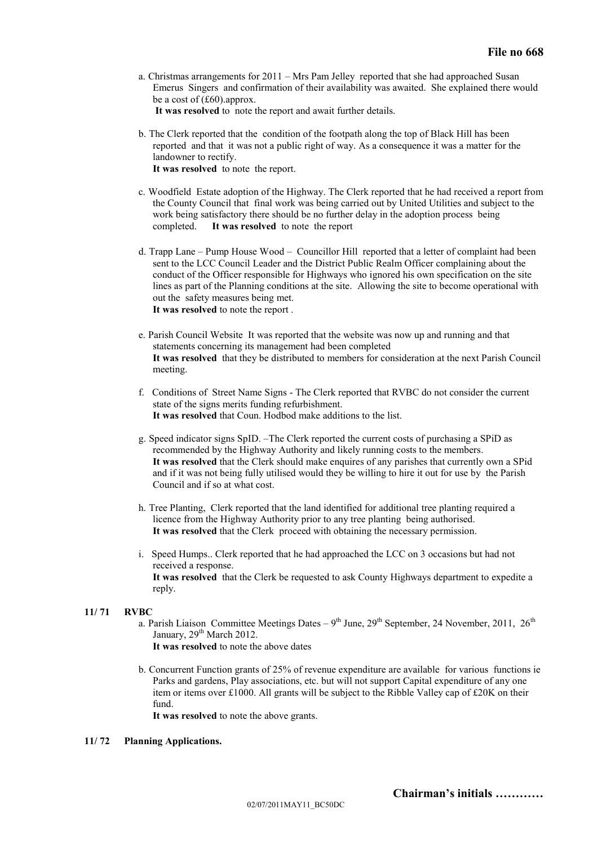a. Christmas arrangements for 2011 – Mrs Pam Jelley reported that she had approached Susan Emerus Singers and confirmation of their availability was awaited. She explained there would be a cost of (£60).approx.

 **It was resolved** to note the report and await further details.

- b. The Clerk reported that the condition of the footpath along the top of Black Hill has been reported and that it was not a public right of way. As a consequence it was a matter for the landowner to rectify. **It was resolved** to note the report.
- c. Woodfield Estate adoption of the Highway. The Clerk reported that he had received a report from the County Council that final work was being carried out by United Utilities and subject to the work being satisfactory there should be no further delay in the adoption process being completed. **It was resolved** to note the report
- d. Trapp Lane Pump House Wood Councillor Hill reported that a letter of complaint had been sent to the LCC Council Leader and the District Public Realm Officer complaining about the conduct of the Officer responsible for Highways who ignored his own specification on the site lines as part of the Planning conditions at the site. Allowing the site to become operational with out the safety measures being met. **It was resolved** to note the report .
- e. Parish Council Website It was reported that the website was now up and running and that statements concerning its management had been completed **It was resolved** that they be distributed to members for consideration at the next Parish Council meeting.
- f. Conditions of Street Name Signs The Clerk reported that RVBC do not consider the current state of the signs merits funding refurbishment. **It was resolved** that Coun. Hodbod make additions to the list.
- g. Speed indicator signs SpID. –The Clerk reported the current costs of purchasing a SPiD as recommended by the Highway Authority and likely running costs to the members. **It was resolved** that the Clerk should make enquires of any parishes that currently own a SPid and if it was not being fully utilised would they be willing to hire it out for use by the Parish Council and if so at what cost.
- h. Tree Planting, Clerk reported that the land identified for additional tree planting required a licence from the Highway Authority prior to any tree planting being authorised. **It was resolved** that the Clerk proceed with obtaining the necessary permission.
- i. Speed Humps.. Clerk reported that he had approached the LCC on 3 occasions but had not received a response. **It was resolved** that the Clerk be requested to ask County Highways department to expedite a reply.

#### **11/ 71 RVBC**

a. Parish Liaison Committee Meetings Dates –  $9<sup>th</sup>$  June,  $29<sup>th</sup>$  September, 24 November, 2011,  $26<sup>th</sup>$ January,  $29<sup>th</sup>$  March 2012.

**It was resolved** to note the above dates

b. Concurrent Function grants of 25% of revenue expenditure are available for various functions ie Parks and gardens, Play associations, etc. but will not support Capital expenditure of any one item or items over £1000. All grants will be subject to the Ribble Valley cap of £20K on their fund.

**It was resolved** to note the above grants.

### **11/ 72 Planning Applications.**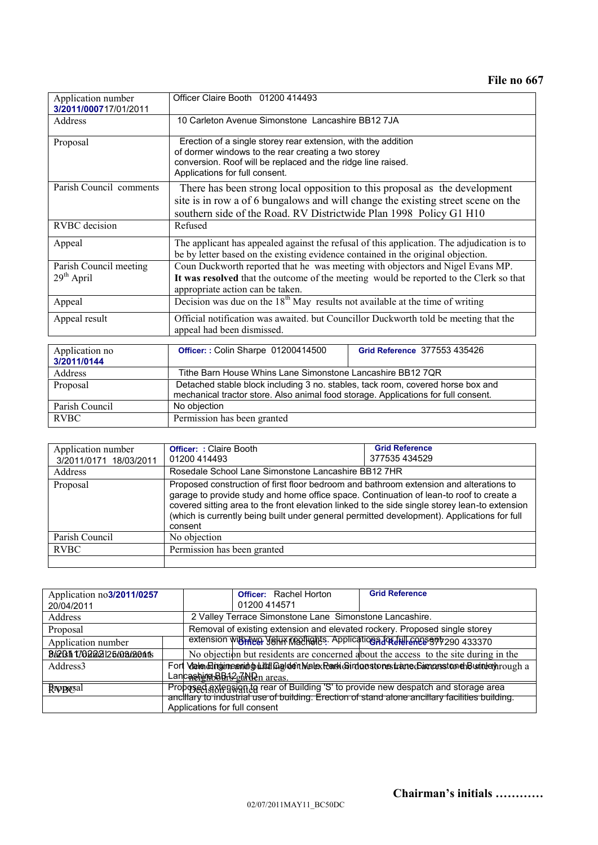**File no 667**

| Application number<br>3/2011/000717/01/2011 | Officer Claire Booth 01200 414493                                                                                                                                                                                                    |                              |  |  |
|---------------------------------------------|--------------------------------------------------------------------------------------------------------------------------------------------------------------------------------------------------------------------------------------|------------------------------|--|--|
| <b>Address</b>                              | 10 Carleton Avenue Simonstone Lancashire BB12 7JA                                                                                                                                                                                    |                              |  |  |
| Proposal                                    | Erection of a single storey rear extension, with the addition<br>of dormer windows to the rear creating a two storey<br>conversion. Roof will be replaced and the ridge line raised.<br>Applications for full consent.               |                              |  |  |
| Parish Council comments                     | There has been strong local opposition to this proposal as the development<br>site is in row a of 6 bungalows and will change the existing street scene on the<br>southern side of the Road. RV Districtwide Plan 1998 Policy G1 H10 |                              |  |  |
| <b>RVBC</b> decision                        | Refused                                                                                                                                                                                                                              |                              |  |  |
| Appeal                                      | The applicant has appealed against the refusal of this application. The adjudication is to<br>be by letter based on the existing evidence contained in the original objection.                                                       |                              |  |  |
| Parish Council meeting<br>$29th$ April      | Coun Duckworth reported that he was meeting with objectors and Nigel Evans MP.<br>It was resolved that the outcome of the meeting would be reported to the Clerk so that<br>appropriate action can be taken.                         |                              |  |  |
| Appeal                                      | Decision was due on the $18th$ May results not available at the time of writing                                                                                                                                                      |                              |  |  |
| Appeal result                               | Official notification was awaited. but Councillor Duckworth told be meeting that the<br>appeal had been dismissed.                                                                                                                   |                              |  |  |
| Application no<br>3/2011/0144               | Officer:: Colin Sharpe 01200414500                                                                                                                                                                                                   | Grid Reference 377553 435426 |  |  |
| Address                                     | Tithe Barn House Whins Lane Simonstone Lancashire BB12 7QR                                                                                                                                                                           |                              |  |  |
| Proposal                                    | Detached stable block including 3 no. stables, tack room, covered horse box and<br>mechanical tractor store. Also animal food storage. Applications for full consent.                                                                |                              |  |  |
| Parish Council                              | No objection                                                                                                                                                                                                                         |                              |  |  |
| <b>RVBC</b>                                 | Permission has been granted                                                                                                                                                                                                          |                              |  |  |

| Application number<br>3/2011/0171 18/03/2011 | <b>Officer: : Claire Booth</b><br>01200 414493                                                                                                                                                                                                                                                                                                                                                | <b>Grid Reference</b><br>377535434529 |  |
|----------------------------------------------|-----------------------------------------------------------------------------------------------------------------------------------------------------------------------------------------------------------------------------------------------------------------------------------------------------------------------------------------------------------------------------------------------|---------------------------------------|--|
| Address                                      | Rosedale School Lane Simonstone Lancashire BB12 7HR                                                                                                                                                                                                                                                                                                                                           |                                       |  |
| Proposal                                     | Proposed construction of first floor bedroom and bathroom extension and alterations to<br>garage to provide study and home office space. Continuation of lean-to roof to create a<br>covered sitting area to the front elevation linked to the side single storey lean-to extension<br>(which is currently being built under general permitted development). Applications for full<br>consent |                                       |  |
| Parish Council                               | No objection                                                                                                                                                                                                                                                                                                                                                                                  |                                       |  |
| <b>RVBC</b>                                  | Permission has been granted                                                                                                                                                                                                                                                                                                                                                                   |                                       |  |
|                                              |                                                                                                                                                                                                                                                                                                                                                                                               |                                       |  |

| Application no3/2011/0257 |                               | <b>Officer:</b> Rachel Horton                                                                   | <b>Grid Reference</b>                                                                           |  |  |
|---------------------------|-------------------------------|-------------------------------------------------------------------------------------------------|-------------------------------------------------------------------------------------------------|--|--|
| 20/04/2011                |                               | 01200 414571                                                                                    |                                                                                                 |  |  |
| Address                   |                               | 2 Valley Terrace Simonstone Lane Simonstone Lancashire.                                         |                                                                                                 |  |  |
| Proposal                  |                               | Removal of existing extension and elevated rockery. Proposed single storey                      |                                                                                                 |  |  |
| Application number        |                               |                                                                                                 | extension with the V6H1X M20H9h3. Application Advised M-6005977290 433370                       |  |  |
| B&2011 170222125/03/2011  |                               |                                                                                                 | No objection but residents are concerned about the access to the site during in the             |  |  |
| Address <sub>3</sub>      |                               |                                                                                                 | Fort Valending imeaning untd Galden Malex Rank Girdonstones trane Gimenstonen Busintery nough a |  |  |
|                           |                               | LancashingbBBi <sup>{2</sup> edNDen areas.                                                      |                                                                                                 |  |  |
| Rroposal                  |                               | Proposed sxtension to rear of Building 'S' to provide new despatch and storage area             |                                                                                                 |  |  |
|                           |                               | anciliary to industrial use of building. Erection of stand alone anciliary facilities building. |                                                                                                 |  |  |
|                           | Applications for full consent |                                                                                                 |                                                                                                 |  |  |